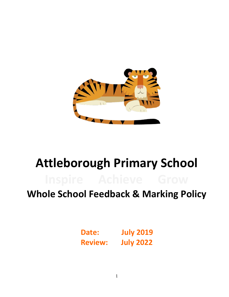

# **Attleborough Primary School**

## **Whole School Feedback & Marking Policy**

**Date: July 2019 Review: July 2022**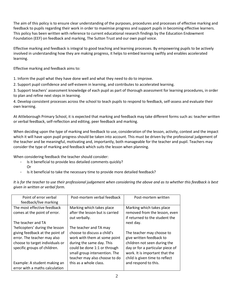The aim of this policy is to ensure clear understanding of the purposes, procedures and processes of effective marking and feedback to pupils regarding their work in order to maximise progress and support pupils in becoming effective learners. This policy has been written with reference to current educational research findings by the Education Endowment Foundation (EEF) on feedback and marking, The Sutton Trust and our own pupil voice.

Effective marking and feedback is integral to good teaching and learning processes. By empowering pupils to be actively involved in understanding how they are making progress, it helps to embed learning swiftly and enables accelerated learning.

Effective marking and feedback aims to:

1. Inform the pupil what they have done well and what they need to do to improve.

2. Support pupil confidence and self-esteem in learning, and contributes to accelerated learning.

3. Support teachers' assessment knowledge of each pupil as part of thorough assessment for learning procedures, in order to plan and refine next steps in learning.

4. Develop consistent processes across the school to teach pupils to respond to feedback, self-assess and evaluate their own learning.

At Attleborough Primary School, it is expected that marking and feedback may take different forms such as: teacher written or verbal feedback, self-reflection and editing, peer feedback and marking.

When deciding upon the type of marking and feedback to use, consideration of the lesson, activity, context and the impact which it will have upon pupil progress should be taken into account. This must be driven by the professional judgement of the teacher and be meaningful, motivating and, importantly, both manageable for the teacher and pupil. Teachers may consider the type of marking and feedback which suits the lesson when planning.

When considering feedback the teacher should consider:

- Is it beneficial to provide less detailed comments quickly? Or
- Is it beneficial to take the necessary time to provide more detailed feedback?

*It is for the teacher to use their professional judgement when considering the above and as to whether this feedback is best given in written or verbal form.*

| Point of error verbal           | Post-mortem verbal feedback     | Post-mortem written              |
|---------------------------------|---------------------------------|----------------------------------|
| feedback/live marking           |                                 |                                  |
|                                 |                                 |                                  |
| The most effective feedback     | Marking which takes place       | Marking which takes place        |
| comes at the point of error.    | after the lesson but is carried | removed from the lesson, even    |
|                                 | out verbally.                   | if returned to the student the   |
| The teacher and TA              |                                 | next day.                        |
| 'helicopters' during the lesson | The teacher and TA may          |                                  |
| giving feedback at the point of | choose to discuss a child's     | The teacher may choose to        |
| error. The teacher may also     | work with them at some point    | give written feedback to         |
| choose to target individuals or | during the same day. This       | children not seen during the     |
| specific groups of children.    | could be done 1:1 or through    | day or for a particular piece of |
|                                 | small group intervention. The   | work. It is important that the   |
|                                 | teacher may also choose to do   | child is given time to reflect   |
| Example: A student making an    | this as a whole class.          | and respond to this.             |
|                                 |                                 |                                  |
| error with a maths calculation  |                                 |                                  |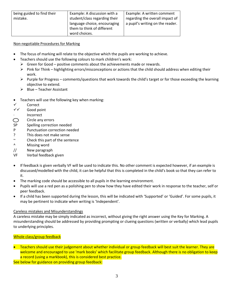| being guided to find their | Example: A discussion with a  | Example: A written comment       |
|----------------------------|-------------------------------|----------------------------------|
|                            |                               |                                  |
| mistake.                   | student/class regarding their | regarding the overall impact of  |
|                            | language choice, encouraging  | a pupil's writing on the reader. |
|                            | them to think of different    |                                  |
|                            | word choices.                 |                                  |

#### Non-negotiable Procedures for Marking

- The focus of marking will relate to the objective which the pupils are working to achieve.
	- Teachers should use the following colours to mark children's work:
		- $\triangleright$  Green for Good positive comments about the achievements made or rewards.
		- $\triangleright$  Pink for Think highlighting errors/misconceptions or actions that the child should address when editing their work.
		- Purple for Progress comments/questions that work towards the child's target or for those exceeding the learning objective to extend.
		- $\triangleright$  Blue Teacher Assistant
- Teachers will use the following key when marking:
- Correct
- $\checkmark$  Good point
- ∙ Incorrect
- Circle any errors ⌒
- SP Spelling correction needed
- P Punctuation correction needed
- ? This does not make sense
- ~ Check this part of the sentence
- ^ Missing word
- // New paragraph
- VF Verbal feedback given
- If feedback is given verbally VF will be used to indicate this. No other comment is expected however, if an example is discussed/modelled with the child, it can be helpful that this is completed in the child's book so that they can refer to it.
- The marking code should be accessible to all pupils in the learning environment.
- Pupils will use a red pen as a polishing pen to show how they have edited their work in response to the teacher, self or peer feedback.
- If a child has been supported during the lesson, this will be indicated with 'Supported' or 'Guided'. For some pupils, it may be pertinent to indicate when writing is 'Independent'.

#### Careless mistakes and Misunderstandings

A careless mistake may be simply indicated as incorrect, without giving the right answer using the Key for Marking. A misunderstanding should be addressed by providing prompting or clueing questions (written or verbally) which lead pupils to underlying principles.

### Whole class/group feedback

**•** Teachers should use their judgement about whether individual or group feedback will best suit the learner. They are welcome and encouraged to use 'mark books' which facilitate group feedback. Although there is no obligation to keep a record (using a markbook), this is considered best practice.

See below for guidance on providing group feedback: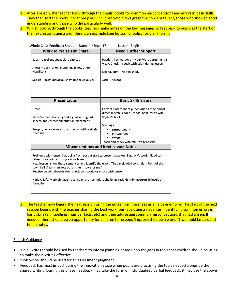- 1. After a lesson, the teacher looks through the pupils' books for common misconceptions and errors in basic skills. They then sort the books into three piles – children who didn't grasp the concept taught, those who showed good understanding and those who did particularly well.
- 2. Whilst looking through the books, teachers make notes on the key messages to feedback to pupils at the start of the next lesson using a grid. Here is an example (see bottom of policy for blank form):

| <b>Whole Class Feedback Sheet</b><br>Date: 4 <sup>th</sup> Sept '17                                                                                                                                                                                                                                                                                                                                                                                                                                      | Lesson: English                                                                                                                                                                                                         |  |
|----------------------------------------------------------------------------------------------------------------------------------------------------------------------------------------------------------------------------------------------------------------------------------------------------------------------------------------------------------------------------------------------------------------------------------------------------------------------------------------------------------|-------------------------------------------------------------------------------------------------------------------------------------------------------------------------------------------------------------------------|--|
| <b>Work to Praise and Share</b>                                                                                                                                                                                                                                                                                                                                                                                                                                                                          | <b>Need Further Support</b>                                                                                                                                                                                             |  |
| Saba - excellent vocabulary choices<br>Anees - description in opening (show under<br>visualiser)<br>Sophie - great dialogue (show under visualiser)                                                                                                                                                                                                                                                                                                                                                      | Hayden, Tanima, Aqib - Noun/Verb agreement is<br>weak. Check through with adult during lesson.<br>Selena, Tom - Not finished.<br>Josie - Absent                                                                         |  |
| <b>Presentation</b>                                                                                                                                                                                                                                                                                                                                                                                                                                                                                      | <b>Basic Skills Errors</b>                                                                                                                                                                                              |  |
| Great<br>Show Sophie's book - good e.g. of setting out<br>speech and correct punctuation placement<br>Reagan, Lena - errors not corrected with a single<br>ruler line                                                                                                                                                                                                                                                                                                                                    | Correct placement of punctuation at the end of<br>direct speech is poor - model next lesson with<br>Sophie's book<br>Spellings-<br>extraordinary<br>unconscious<br>٠<br>symbol<br>Teach and check with mini-whiteboards |  |
|                                                                                                                                                                                                                                                                                                                                                                                                                                                                                                          | <b>Misconceptions and Next Lesson Notes</b>                                                                                                                                                                             |  |
| Problems with tense - Swapping from past at start to present later on. E.g. Jack's work. Need to<br>reteach key points from previous lesson.<br>Next lesson - show these sentences and identify the error. 'The car skidded to a halt in front of the<br>town hall. A tall man gets out and runs towards me.'<br>Rewrite on whiteboards then check own work for errors with tense.<br>Harley, Safa, Mariyah have no tense errors - complete challenge task identifying errors in levels of<br>formality. |                                                                                                                                                                                                                         |  |

3. The teacher now begins the next session using the notes from the sheet as an aide-memoire. The start of the next session begins with the teacher sharing the best work (perhaps using a visualiser), identifying common errors in basic skills (e.g. spellings, number facts, etc) and then addressing common misconceptions that had arisen. If needed, there should be an opportunity for children to respond/improve their own work. This should last around ten minutes.

#### English Guidance

- 'Cold' writes should be used by teachers to inform planning based upon the gaps in tools that children should be using to make their writing effective.
- 'Hot' writes should be used for an assessment judgment.
- Feedback has most impact during the Innovation Stage when pupils are practising the tools needed alongside the shared writing. During this phase, feedback may take the form of individualised verbal feedback, it may use the above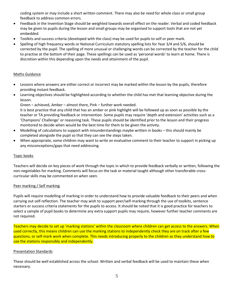coding system or may include a short written comment. There may also be need for whole class or small group feedback to address common errors.

- Feedback in the Invention Stage should be weighted towards overall effect on the reader. Verbal and coded feedback may be given to pupils during the lesson and small groups may be organised to support tools that are not yet embedded.
- Toolkits and success criteria (developed with the class) may be used for pupils to self or peer mark.
- Spelling of high frequency words or National Curriculum statutory spelling lists for Year 3/4 and 5/6, should be corrected by the pupil. The spelling of more unusual or challenging words can be corrected by the teacher for the child to practise at the bottom of their page. These spellings can be used as 'personal words' to learn at home. There is discretion within this depending upon the needs and attainment of the pupil.

#### Maths Guidance

- Lessons where answers are either correct or incorrect may be marked within the lesson by the pupils, therefore providing instant feedback.
- Learning objectives should be highlighted according to whether the child has met that learning objective during the lesson.

Green – achieved, Amber – almost there, Pink – further work needed.

It is best practice that any child that has an amber or pink highlight will be followed up as soon as possible by the teacher or TA providing feedback or intervention. Some pupils may require 'depth and extension' activities such as a 'Champions' Challenge' or reasoning task. These pupils should be identified prior to the lesson and their progress monitored to decide when would be the best time for them to be given the activity.

- Modelling of calculations to support with misunderstandings maybe written in books this should mainly be completed alongside the pupil so that they can see the steps taken.
- When appropriate, some children may want to write an evaluative comment to their teacher to support in picking up any misconceptions/gaps that need addressing.

#### Topic books

Teachers will decide on key pieces of work through the topic in which to provide feedback verbally or written, following the non-negotiables for marking. Comments will focus on the task or material taught although other transferable crosscurricular skills may be commented on when seen.

#### Peer marking / Self marking

Pupils will require modelling of marking in order to understand how to provide valuable feedback to their peers and when carrying out self-reflection. The teacher may wish to support peer/self-marking through the use of toolkits, sentence starters or success criteria statements for the pupils to access. It should be noted that it is good practice for teachers to select a sample of pupil books to determine any extra support pupils may require, however further teacher comments are not required.

Teachers may decide to set up 'marking stations' within the classroom where children can get access to the answers. When used correctly, this means children can use the marking stations to independently check they are on track after a few questions, or self-mark work when complete. This needs introducing properly to the children so they understand how to use the stations responsibly and independently.

#### Presentation Standards

These should be well established across the school. Written and verbal feedback will be used to maintain these when necessary.